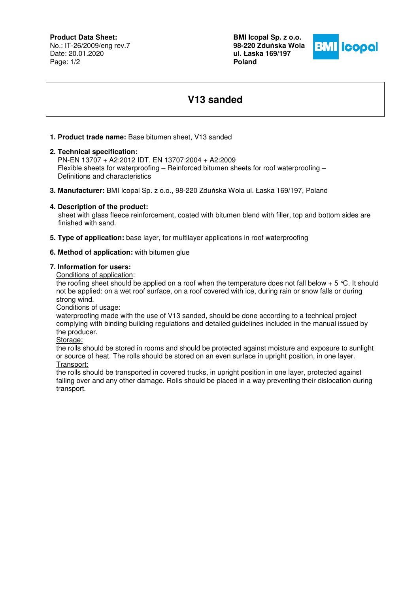## **Product Data Sheet:**

No.: IT-26/2009/eng rev.7 Date: 20.01.2020 Page: 1/2

**BMI Icopal Sp. z o.o. 98-220 Zdu**ń**ska Wola ul. Łaska 169/197 Poland** 



# **V13 sanded**

## **1. Product trade name:** Base bitumen sheet, V13 sanded

### **2. Technical specification:**

 PN-EN 13707 + A2:2012 IDT. EN 13707:2004 + A2:2009 Flexible sheets for waterproofing – Reinforced bitumen sheets for roof waterproofing – Definitions and characteristics

**3. Manufacturer:** BMI Icopal Sp. z o.o., 98-220 Zduńska Wola ul. Łaska 169/197, Poland

### **4. Description of the product:**

 sheet with glass fleece reinforcement, coated with bitumen blend with filler, top and bottom sides are finished with sand.

**5. Type of application:** base layer, for multilayer applications in roof waterproofing

#### **6. Method of application:** with bitumen glue

#### **7. Information for users:**

Conditions of application:

the roofing sheet should be applied on a roof when the temperature does not fall below  $+ 5 \degree C$ . It should not be applied: on a wet roof surface, on a roof covered with ice, during rain or snow falls or during strong wind.

Conditions of usage:

waterproofing made with the use of V13 sanded, should be done according to a technical project complying with binding building regulations and detailed guidelines included in the manual issued by the producer.

Storage:

the rolls should be stored in rooms and should be protected against moisture and exposure to sunlight or source of heat. The rolls should be stored on an even surface in upright position, in one layer. Transport:

the rolls should be transported in covered trucks, in upright position in one layer, protected against falling over and any other damage. Rolls should be placed in a way preventing their dislocation during transport.